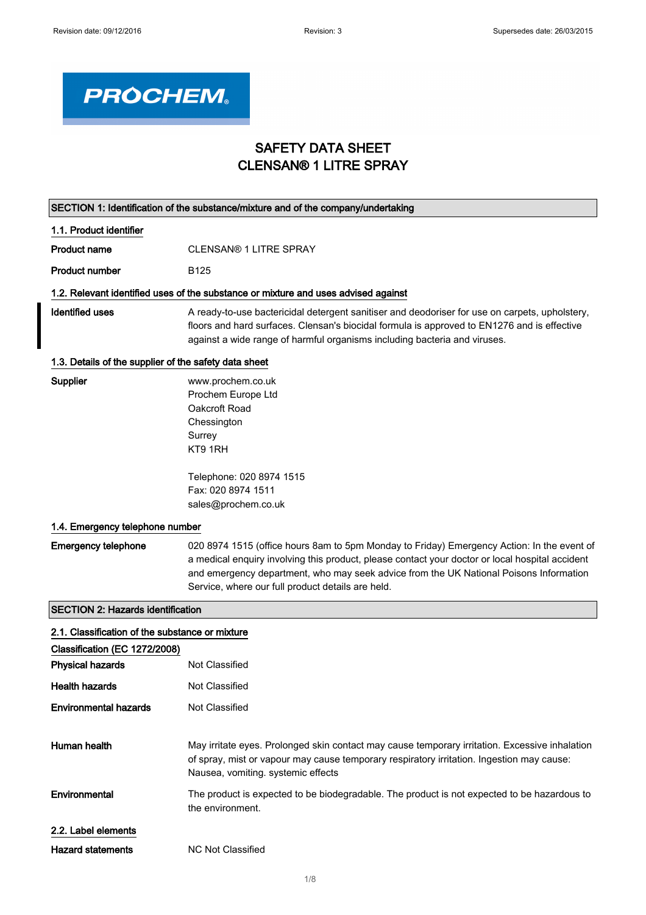

## SAFETY DATA SHEET CLENSAN® 1 LITRE SPRAY

|                                                       | SECTION 1: Identification of the substance/mixture and of the company/undertaking                                                                                                                                                                                                                                                            |
|-------------------------------------------------------|----------------------------------------------------------------------------------------------------------------------------------------------------------------------------------------------------------------------------------------------------------------------------------------------------------------------------------------------|
| 1.1. Product identifier                               |                                                                                                                                                                                                                                                                                                                                              |
| <b>Product name</b>                                   | <b>CLENSAN® 1 LITRE SPRAY</b>                                                                                                                                                                                                                                                                                                                |
| <b>Product number</b>                                 | B <sub>125</sub>                                                                                                                                                                                                                                                                                                                             |
|                                                       | 1.2. Relevant identified uses of the substance or mixture and uses advised against                                                                                                                                                                                                                                                           |
| <b>Identified uses</b>                                | A ready-to-use bactericidal detergent sanitiser and deodoriser for use on carpets, upholstery,<br>floors and hard surfaces. Clensan's biocidal formula is approved to EN1276 and is effective<br>against a wide range of harmful organisms including bacteria and viruses.                                                                   |
| 1.3. Details of the supplier of the safety data sheet |                                                                                                                                                                                                                                                                                                                                              |
| Supplier                                              | www.prochem.co.uk<br>Prochem Europe Ltd<br>Oakcroft Road<br>Chessington<br>Surrey<br>KT9 1RH                                                                                                                                                                                                                                                 |
|                                                       | Telephone: 020 8974 1515<br>Fax: 020 8974 1511<br>sales@prochem.co.uk                                                                                                                                                                                                                                                                        |
| 1.4. Emergency telephone number                       |                                                                                                                                                                                                                                                                                                                                              |
| <b>Emergency telephone</b>                            | 020 8974 1515 (office hours 8am to 5pm Monday to Friday) Emergency Action: In the event of<br>a medical enquiry involving this product, please contact your doctor or local hospital accident<br>and emergency department, who may seek advice from the UK National Poisons Information<br>Service, where our full product details are held. |
| <b>SECTION 2: Hazards identification</b>              |                                                                                                                                                                                                                                                                                                                                              |
| 2.1. Classification of the substance or mixture       |                                                                                                                                                                                                                                                                                                                                              |
| Classification (EC 1272/2008)                         |                                                                                                                                                                                                                                                                                                                                              |
| <b>Physical hazards</b>                               | Not Classified                                                                                                                                                                                                                                                                                                                               |
| <b>Health hazards</b>                                 | Not Classified                                                                                                                                                                                                                                                                                                                               |
| <b>Environmental hazards</b>                          | Not Classified                                                                                                                                                                                                                                                                                                                               |
| Human health                                          | May irritate eyes. Prolonged skin contact may cause temporary irritation. Excessive inhalation<br>of spray, mist or vapour may cause temporary respiratory irritation. Ingestion may cause:<br>Nausea, vomiting. systemic effects                                                                                                            |
| Environmental                                         | The product is expected to be biodegradable. The product is not expected to be hazardous to<br>the environment.                                                                                                                                                                                                                              |
| 2.2. Label elements                                   |                                                                                                                                                                                                                                                                                                                                              |
| <b>Hazard statements</b>                              | <b>NC Not Classified</b>                                                                                                                                                                                                                                                                                                                     |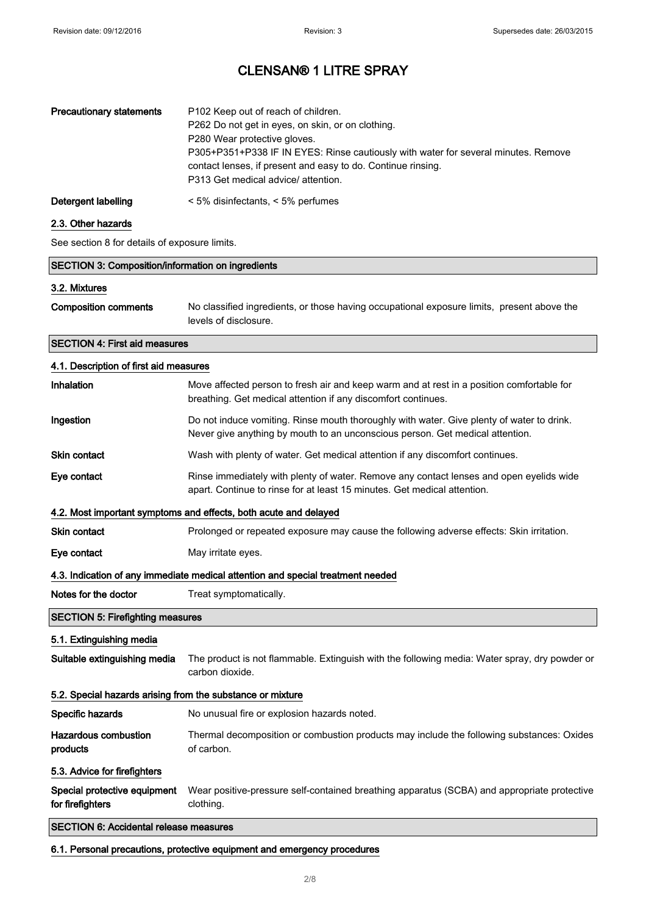| <b>Precautionary statements</b> | P102 Keep out of reach of children.<br>P262 Do not get in eyes, on skin, or on clothing.<br>P280 Wear protective gloves.<br>P305+P351+P338 IF IN EYES: Rinse cautiously with water for several minutes. Remove<br>contact lenses, if present and easy to do. Continue rinsing.<br>P313 Get medical advice/ attention. |
|---------------------------------|-----------------------------------------------------------------------------------------------------------------------------------------------------------------------------------------------------------------------------------------------------------------------------------------------------------------------|
| Detergent labelling             | $\leq$ 5% disinfectants, $\leq$ 5% perfumes                                                                                                                                                                                                                                                                           |

## 2.3. Other hazards

See section 8 for details of exposure limits.

|                                                            | <b>SECTION 3: Composition/information on ingredients</b>                                                                                                                   |  |  |
|------------------------------------------------------------|----------------------------------------------------------------------------------------------------------------------------------------------------------------------------|--|--|
| 3.2. Mixtures                                              |                                                                                                                                                                            |  |  |
| <b>Composition comments</b>                                | No classified ingredients, or those having occupational exposure limits, present above the<br>levels of disclosure.                                                        |  |  |
| <b>SECTION 4: First aid measures</b>                       |                                                                                                                                                                            |  |  |
| 4.1. Description of first aid measures                     |                                                                                                                                                                            |  |  |
| Inhalation                                                 | Move affected person to fresh air and keep warm and at rest in a position comfortable for<br>breathing. Get medical attention if any discomfort continues.                 |  |  |
| Ingestion                                                  | Do not induce vomiting. Rinse mouth thoroughly with water. Give plenty of water to drink.<br>Never give anything by mouth to an unconscious person. Get medical attention. |  |  |
| <b>Skin contact</b>                                        | Wash with plenty of water. Get medical attention if any discomfort continues.                                                                                              |  |  |
| Eye contact                                                | Rinse immediately with plenty of water. Remove any contact lenses and open eyelids wide<br>apart. Continue to rinse for at least 15 minutes. Get medical attention.        |  |  |
|                                                            | 4.2. Most important symptoms and effects, both acute and delayed                                                                                                           |  |  |
| <b>Skin contact</b>                                        | Prolonged or repeated exposure may cause the following adverse effects: Skin irritation.                                                                                   |  |  |
| Eye contact                                                | May irritate eyes.                                                                                                                                                         |  |  |
|                                                            | 4.3. Indication of any immediate medical attention and special treatment needed                                                                                            |  |  |
| Notes for the doctor                                       | Treat symptomatically.                                                                                                                                                     |  |  |
| <b>SECTION 5: Firefighting measures</b>                    |                                                                                                                                                                            |  |  |
| 5.1. Extinguishing media                                   |                                                                                                                                                                            |  |  |
| Suitable extinguishing media                               | The product is not flammable. Extinguish with the following media: Water spray, dry powder or<br>carbon dioxide.                                                           |  |  |
| 5.2. Special hazards arising from the substance or mixture |                                                                                                                                                                            |  |  |
| Specific hazards                                           | No unusual fire or explosion hazards noted.                                                                                                                                |  |  |
| <b>Hazardous combustion</b><br>products                    | Thermal decomposition or combustion products may include the following substances: Oxides<br>of carbon.                                                                    |  |  |
| 5.3. Advice for firefighters                               |                                                                                                                                                                            |  |  |
| Special protective equipment<br>for firefighters           | Wear positive-pressure self-contained breathing apparatus (SCBA) and appropriate protective<br>clothing.                                                                   |  |  |
| <b>SECTION 6: Accidental release measures</b>              |                                                                                                                                                                            |  |  |
|                                                            | 6.1. Personal precautions, protective equipment and emergency procedures                                                                                                   |  |  |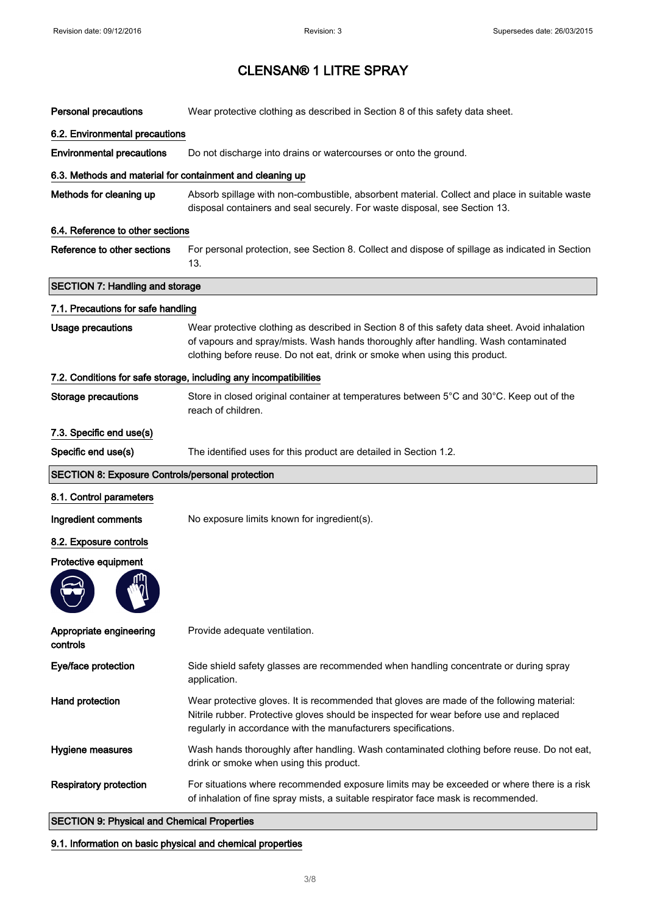| <b>Personal precautions</b>                               | Wear protective clothing as described in Section 8 of this safety data sheet.                                                                                                                                                                                       |  |  |
|-----------------------------------------------------------|---------------------------------------------------------------------------------------------------------------------------------------------------------------------------------------------------------------------------------------------------------------------|--|--|
| 6.2. Environmental precautions                            |                                                                                                                                                                                                                                                                     |  |  |
| <b>Environmental precautions</b>                          | Do not discharge into drains or watercourses or onto the ground.                                                                                                                                                                                                    |  |  |
| 6.3. Methods and material for containment and cleaning up |                                                                                                                                                                                                                                                                     |  |  |
| Methods for cleaning up                                   | Absorb spillage with non-combustible, absorbent material. Collect and place in suitable waste<br>disposal containers and seal securely. For waste disposal, see Section 13.                                                                                         |  |  |
| 6.4. Reference to other sections                          |                                                                                                                                                                                                                                                                     |  |  |
| Reference to other sections                               | For personal protection, see Section 8. Collect and dispose of spillage as indicated in Section<br>13.                                                                                                                                                              |  |  |
| <b>SECTION 7: Handling and storage</b>                    |                                                                                                                                                                                                                                                                     |  |  |
| 7.1. Precautions for safe handling                        |                                                                                                                                                                                                                                                                     |  |  |
| <b>Usage precautions</b>                                  | Wear protective clothing as described in Section 8 of this safety data sheet. Avoid inhalation<br>of vapours and spray/mists. Wash hands thoroughly after handling. Wash contaminated<br>clothing before reuse. Do not eat, drink or smoke when using this product. |  |  |
|                                                           | 7.2. Conditions for safe storage, including any incompatibilities                                                                                                                                                                                                   |  |  |
| <b>Storage precautions</b>                                | Store in closed original container at temperatures between 5°C and 30°C. Keep out of the<br>reach of children.                                                                                                                                                      |  |  |
| 7.3. Specific end use(s)                                  |                                                                                                                                                                                                                                                                     |  |  |
| Specific end use(s)                                       | The identified uses for this product are detailed in Section 1.2.                                                                                                                                                                                                   |  |  |
|                                                           |                                                                                                                                                                                                                                                                     |  |  |
| <b>SECTION 8: Exposure Controls/personal protection</b>   |                                                                                                                                                                                                                                                                     |  |  |
| 8.1. Control parameters                                   |                                                                                                                                                                                                                                                                     |  |  |
| Ingredient comments                                       | No exposure limits known for ingredient(s).                                                                                                                                                                                                                         |  |  |
| 8.2. Exposure controls                                    |                                                                                                                                                                                                                                                                     |  |  |
| Protective equipment                                      |                                                                                                                                                                                                                                                                     |  |  |
| Appropriate engineering<br>controls                       | Provide adequate ventilation.                                                                                                                                                                                                                                       |  |  |
| Eye/face protection                                       | Side shield safety glasses are recommended when handling concentrate or during spray<br>application.                                                                                                                                                                |  |  |
| Hand protection                                           | Wear protective gloves. It is recommended that gloves are made of the following material:<br>Nitrile rubber. Protective gloves should be inspected for wear before use and replaced<br>regularly in accordance with the manufacturers specifications.               |  |  |
| <b>Hygiene measures</b>                                   | Wash hands thoroughly after handling. Wash contaminated clothing before reuse. Do not eat,<br>drink or smoke when using this product.                                                                                                                               |  |  |
| <b>Respiratory protection</b>                             | For situations where recommended exposure limits may be exceeded or where there is a risk<br>of inhalation of fine spray mists, a suitable respirator face mask is recommended.                                                                                     |  |  |

## 9.1. Information on basic physical and chemical properties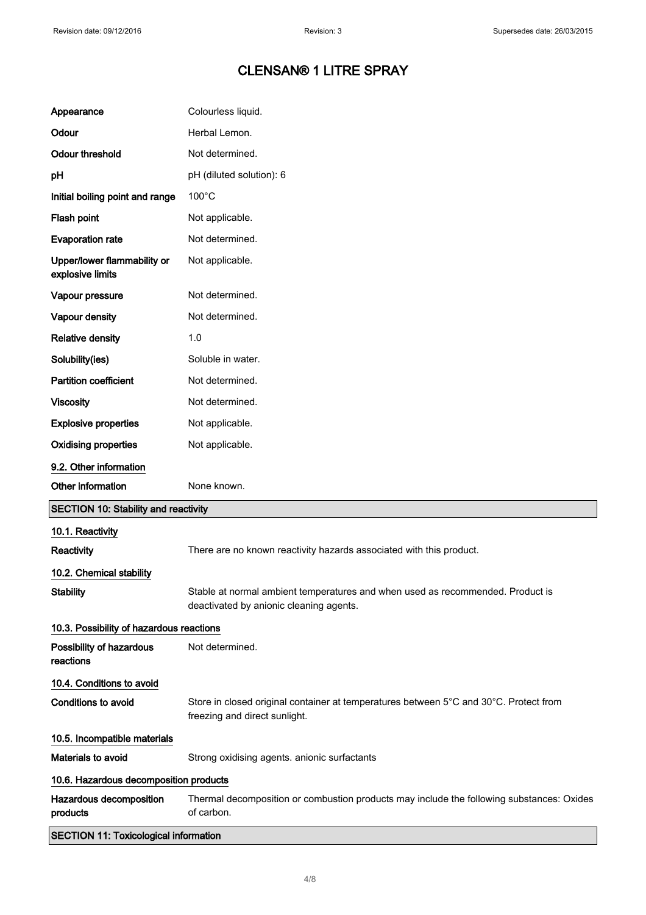| Appearance                                      | Colourless liquid.                                                                                                        |  |  |
|-------------------------------------------------|---------------------------------------------------------------------------------------------------------------------------|--|--|
| Odour                                           | Herbal Lemon.                                                                                                             |  |  |
| <b>Odour threshold</b>                          | Not determined.                                                                                                           |  |  |
| рH                                              | pH (diluted solution): 6                                                                                                  |  |  |
| Initial boiling point and range                 | $100^{\circ}$ C                                                                                                           |  |  |
| Flash point                                     | Not applicable.                                                                                                           |  |  |
| <b>Evaporation rate</b>                         | Not determined.                                                                                                           |  |  |
| Upper/lower flammability or<br>explosive limits | Not applicable.                                                                                                           |  |  |
| Vapour pressure                                 | Not determined.                                                                                                           |  |  |
| Vapour density                                  | Not determined.                                                                                                           |  |  |
| <b>Relative density</b>                         | 1.0                                                                                                                       |  |  |
| Solubility(ies)                                 | Soluble in water.                                                                                                         |  |  |
| <b>Partition coefficient</b>                    | Not determined.                                                                                                           |  |  |
| <b>Viscosity</b>                                | Not determined.                                                                                                           |  |  |
| <b>Explosive properties</b>                     | Not applicable.                                                                                                           |  |  |
| <b>Oxidising properties</b>                     | Not applicable.                                                                                                           |  |  |
| 9.2. Other information                          |                                                                                                                           |  |  |
| Other information                               | None known.                                                                                                               |  |  |
| <b>SECTION 10: Stability and reactivity</b>     |                                                                                                                           |  |  |
| 10.1. Reactivity                                |                                                                                                                           |  |  |
| <b>Reactivity</b>                               | There are no known reactivity hazards associated with this product.                                                       |  |  |
| 10.2. Chemical stability                        |                                                                                                                           |  |  |
| <b>Stability</b>                                | Stable at normal ambient temperatures and when used as recommended. Product is<br>deactivated by anionic cleaning agents. |  |  |
| 10.3. Possibility of hazardous reactions        |                                                                                                                           |  |  |
| Possibility of hazardous<br>reactions           | Not determined.                                                                                                           |  |  |
| 10.4. Conditions to avoid                       |                                                                                                                           |  |  |
| <b>Conditions to avoid</b>                      | Store in closed original container at temperatures between 5°C and 30°C. Protect from<br>freezing and direct sunlight.    |  |  |
| 10.5. Incompatible materials                    |                                                                                                                           |  |  |
|                                                 |                                                                                                                           |  |  |
| Materials to avoid                              | Strong oxidising agents. anionic surfactants                                                                              |  |  |
| 10.6. Hazardous decomposition products          |                                                                                                                           |  |  |
| Hazardous decomposition<br>products             | Thermal decomposition or combustion products may include the following substances: Oxides<br>of carbon.                   |  |  |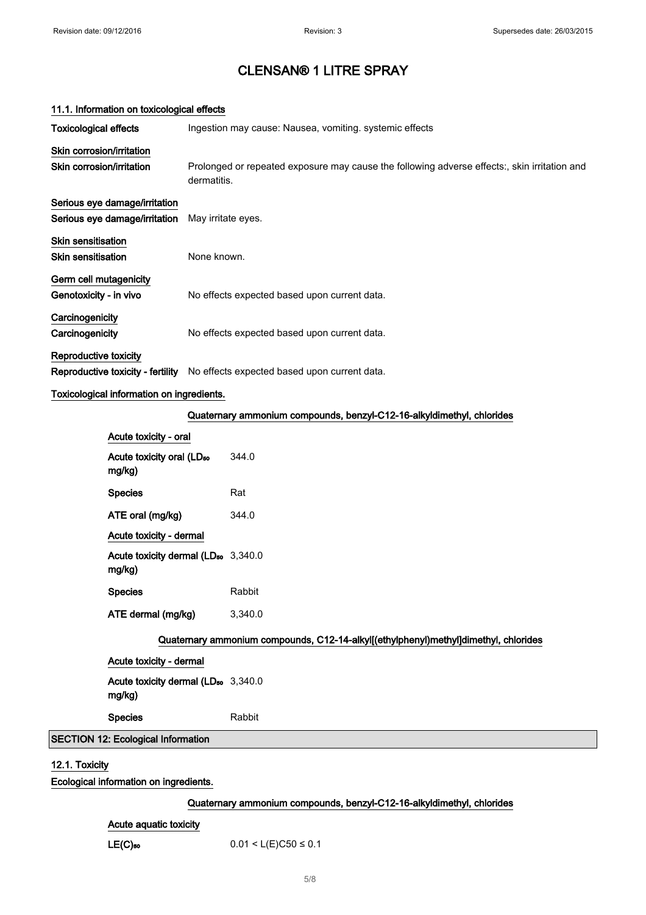| 11.1. Information on toxicological effects             |                                                                                                             |  |
|--------------------------------------------------------|-------------------------------------------------------------------------------------------------------------|--|
| <b>Toxicological effects</b>                           | Ingestion may cause: Nausea, vomiting. systemic effects                                                     |  |
| Skin corrosion/irritation                              |                                                                                                             |  |
| Skin corrosion/irritation                              | Prolonged or repeated exposure may cause the following adverse effects:, skin irritation and<br>dermatitis. |  |
| Serious eye damage/irritation                          |                                                                                                             |  |
| Serious eye damage/irritation                          | May irritate eyes.                                                                                          |  |
| <b>Skin sensitisation</b><br><b>Skin sensitisation</b> | None known.                                                                                                 |  |
| Germ cell mutagenicity                                 |                                                                                                             |  |
| Genotoxicity - in vivo                                 | No effects expected based upon current data.                                                                |  |
| Carcinogenicity                                        |                                                                                                             |  |
| Carcinogenicity                                        | No effects expected based upon current data.                                                                |  |
| Reproductive toxicity                                  |                                                                                                             |  |
| Reproductive toxicity - fertility                      | No effects expected based upon current data.                                                                |  |

### Toxicological information on ingredients.

### Quaternary ammonium compounds, benzyl-C12-16-alkyldimethyl, chlorides

| Acute toxicity - oral                                                               |         |  |
|-------------------------------------------------------------------------------------|---------|--|
| Acute toxicity oral (LD <sub>50</sub><br>mg/kg)                                     | 344.0   |  |
| <b>Species</b>                                                                      | Rat     |  |
| ATE oral (mg/kg)                                                                    | 344.0   |  |
| Acute toxicity - dermal                                                             |         |  |
| Acute toxicity dermal (LD <sub>50</sub> 3,340.0<br>mg/kg)                           |         |  |
| <b>Species</b>                                                                      | Rabbit  |  |
| ATE dermal (mg/kg)                                                                  | 3,340.0 |  |
| Quaternary ammonium compounds, C12-14-alkyl[(ethylphenyl)methyl]dimethyl, chlorides |         |  |
| Acute toxicity - dermal                                                             |         |  |
| Acute toxicity dermal (LD <sub>50</sub> 3,340.0<br>mg/kg)                           |         |  |

Species Rabbit

## SECTION 12: Ecological Information

## 12.1. Toxicity

Ecological information on ingredients.

### Quaternary ammonium compounds, benzyl-C12-16-alkyldimethyl, chlorides

### Acute aquatic toxicity

LE(C)<sub>50</sub> 0.01 < L(E)C50  $\leq$  0.1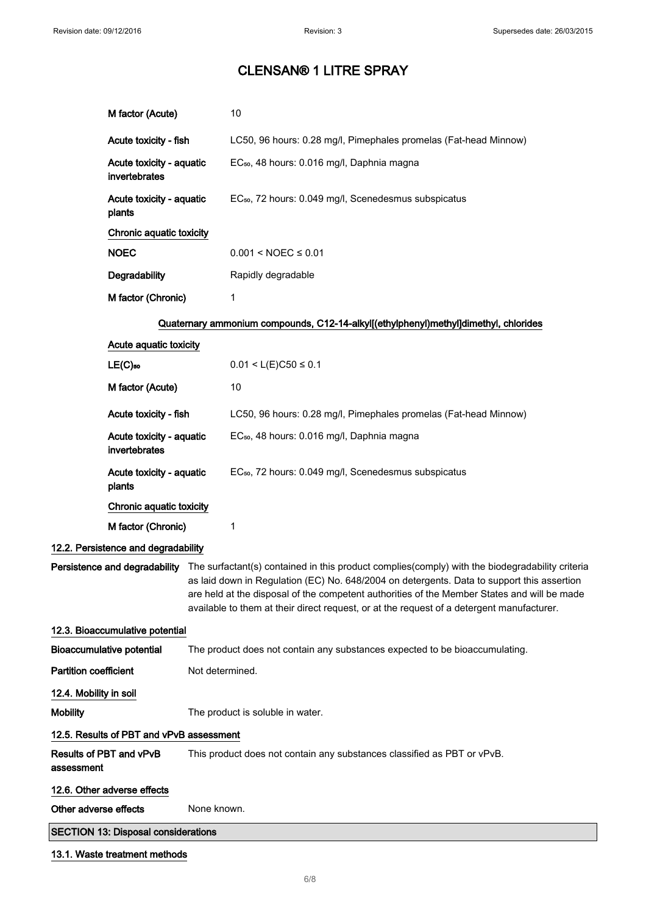|                              | M factor (Acute)                           |                 | 10                                                                                                                                                                                                                                                                                                                                                                                                                      |
|------------------------------|--------------------------------------------|-----------------|-------------------------------------------------------------------------------------------------------------------------------------------------------------------------------------------------------------------------------------------------------------------------------------------------------------------------------------------------------------------------------------------------------------------------|
|                              | Acute toxicity - fish                      |                 | LC50, 96 hours: 0.28 mg/l, Pimephales promelas (Fat-head Minnow)                                                                                                                                                                                                                                                                                                                                                        |
|                              | Acute toxicity - aquatic<br>invertebrates  |                 | EC <sub>50</sub> , 48 hours: 0.016 mg/l, Daphnia magna                                                                                                                                                                                                                                                                                                                                                                  |
|                              | Acute toxicity - aquatic<br>plants         |                 | EC <sub>50</sub> , 72 hours: 0.049 mg/l, Scenedesmus subspicatus                                                                                                                                                                                                                                                                                                                                                        |
|                              | Chronic aquatic toxicity                   |                 |                                                                                                                                                                                                                                                                                                                                                                                                                         |
|                              | <b>NOEC</b>                                |                 | $0.001 < NOEC \le 0.01$                                                                                                                                                                                                                                                                                                                                                                                                 |
|                              | Degradability                              |                 | Rapidly degradable                                                                                                                                                                                                                                                                                                                                                                                                      |
|                              | M factor (Chronic)                         |                 | 1                                                                                                                                                                                                                                                                                                                                                                                                                       |
|                              |                                            |                 | Quaternary ammonium compounds, C12-14-alkyl[(ethylphenyl)methyl]dimethyl, chlorides                                                                                                                                                                                                                                                                                                                                     |
|                              | Acute aquatic toxicity                     |                 |                                                                                                                                                                                                                                                                                                                                                                                                                         |
|                              | $LE(C)$ 50                                 |                 | $0.01 < L(E)C50 \le 0.1$                                                                                                                                                                                                                                                                                                                                                                                                |
|                              | M factor (Acute)                           |                 | 10                                                                                                                                                                                                                                                                                                                                                                                                                      |
|                              | Acute toxicity - fish                      |                 | LC50, 96 hours: 0.28 mg/l, Pimephales promelas (Fat-head Minnow)                                                                                                                                                                                                                                                                                                                                                        |
|                              | Acute toxicity - aquatic<br>invertebrates  |                 | EC <sub>50</sub> , 48 hours: 0.016 mg/l, Daphnia magna                                                                                                                                                                                                                                                                                                                                                                  |
|                              | Acute toxicity - aquatic<br>plants         |                 | EC <sub>50</sub> , 72 hours: 0.049 mg/l, Scenedesmus subspicatus                                                                                                                                                                                                                                                                                                                                                        |
|                              | Chronic aquatic toxicity                   |                 |                                                                                                                                                                                                                                                                                                                                                                                                                         |
|                              | M factor (Chronic)                         |                 | 1                                                                                                                                                                                                                                                                                                                                                                                                                       |
|                              | 12.2. Persistence and degradability        |                 |                                                                                                                                                                                                                                                                                                                                                                                                                         |
|                              |                                            |                 | Persistence and degradability The surfactant(s) contained in this product complies(comply) with the biodegradability criteria<br>as laid down in Regulation (EC) No. 648/2004 on detergents. Data to support this assertion<br>are held at the disposal of the competent authorities of the Member States and will be made<br>available to them at their direct request, or at the request of a detergent manufacturer. |
|                              | 12.3. Bioaccumulative potential            |                 |                                                                                                                                                                                                                                                                                                                                                                                                                         |
|                              | <b>Bioaccumulative potential</b>           |                 | The product does not contain any substances expected to be bioaccumulating.                                                                                                                                                                                                                                                                                                                                             |
| <b>Partition coefficient</b> |                                            | Not determined. |                                                                                                                                                                                                                                                                                                                                                                                                                         |
| 12.4. Mobility in soil       |                                            |                 |                                                                                                                                                                                                                                                                                                                                                                                                                         |
| <b>Mobility</b>              |                                            |                 | The product is soluble in water.                                                                                                                                                                                                                                                                                                                                                                                        |
|                              | 12.5. Results of PBT and vPvB assessment   |                 |                                                                                                                                                                                                                                                                                                                                                                                                                         |
| assessment                   | Results of PBT and vPvB                    |                 | This product does not contain any substances classified as PBT or vPvB.                                                                                                                                                                                                                                                                                                                                                 |
|                              | 12.6. Other adverse effects                |                 |                                                                                                                                                                                                                                                                                                                                                                                                                         |
| Other adverse effects        |                                            | None known.     |                                                                                                                                                                                                                                                                                                                                                                                                                         |
|                              | <b>SECTION 13: Disposal considerations</b> |                 |                                                                                                                                                                                                                                                                                                                                                                                                                         |
|                              | 13.1. Waste treatment methods              |                 |                                                                                                                                                                                                                                                                                                                                                                                                                         |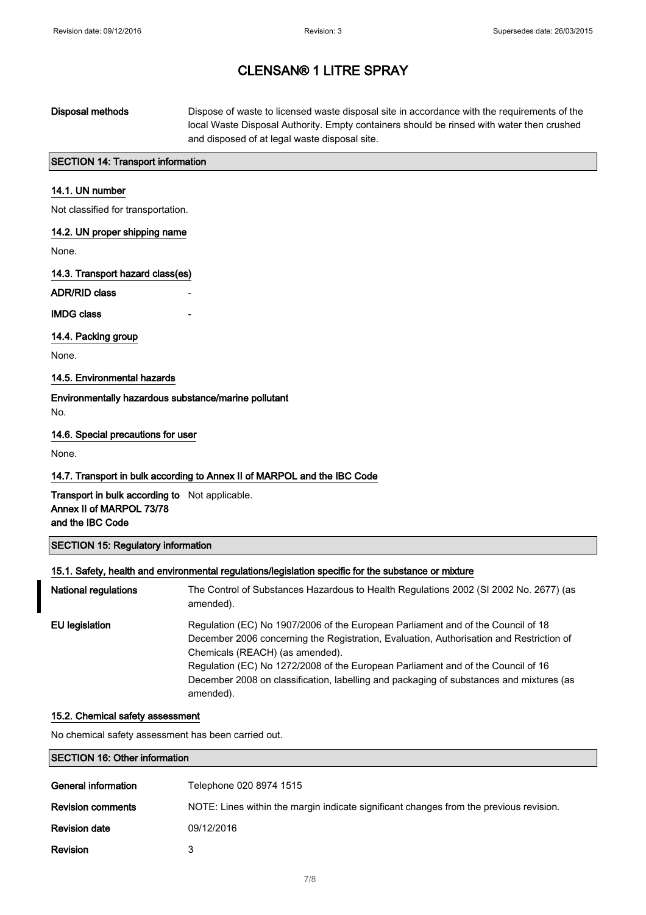## Disposal methods Dispose of waste to licensed waste disposal site in accordance with the requirements of the local Waste Disposal Authority. Empty containers should be rinsed with water then crushed and disposed of at legal waste disposal site.

### SECTION 14: Transport information

#### 14.1. UN number

Not classified for transportation.

### 14.2. UN proper shipping name

None.

#### 14.3. Transport hazard class(es)

ADR/RID class

#### **IMDG class**

#### 14.4. Packing group

None.

#### 14.5. Environmental hazards

Environmentally hazardous substance/marine pollutant No.

### 14.6. Special precautions for user

None.

#### 14.7. Transport in bulk according to Annex II of MARPOL and the IBC Code

Transport in bulk according to Not applicable. Annex II of MARPOL 73/78 and the IBC Code

#### SECTION 15: Regulatory information

#### 15.1. Safety, health and environmental regulations/legislation specific for the substance or mixture

| <b>National regulations</b> | The Control of Substances Hazardous to Health Regulations 2002 (SI 2002 No. 2677) (as<br>amended).                                                                                                                                                                                                                                                                                                         |
|-----------------------------|------------------------------------------------------------------------------------------------------------------------------------------------------------------------------------------------------------------------------------------------------------------------------------------------------------------------------------------------------------------------------------------------------------|
| EU legislation              | Regulation (EC) No 1907/2006 of the European Parliament and of the Council of 18<br>December 2006 concerning the Registration, Evaluation, Authorisation and Restriction of<br>Chemicals (REACH) (as amended).<br>Regulation (EC) No 1272/2008 of the European Parliament and of the Council of 16<br>December 2008 on classification, labelling and packaging of substances and mixtures (as<br>amended). |

#### 15.2. Chemical safety assessment

No chemical safety assessment has been carried out.

### SECTION 16: Other information

| General information      | Telephone 020 8974 1515                                                                |
|--------------------------|----------------------------------------------------------------------------------------|
| <b>Revision comments</b> | NOTE: Lines within the margin indicate significant changes from the previous revision. |
| <b>Revision date</b>     | 09/12/2016                                                                             |
| <b>Revision</b>          | 3                                                                                      |